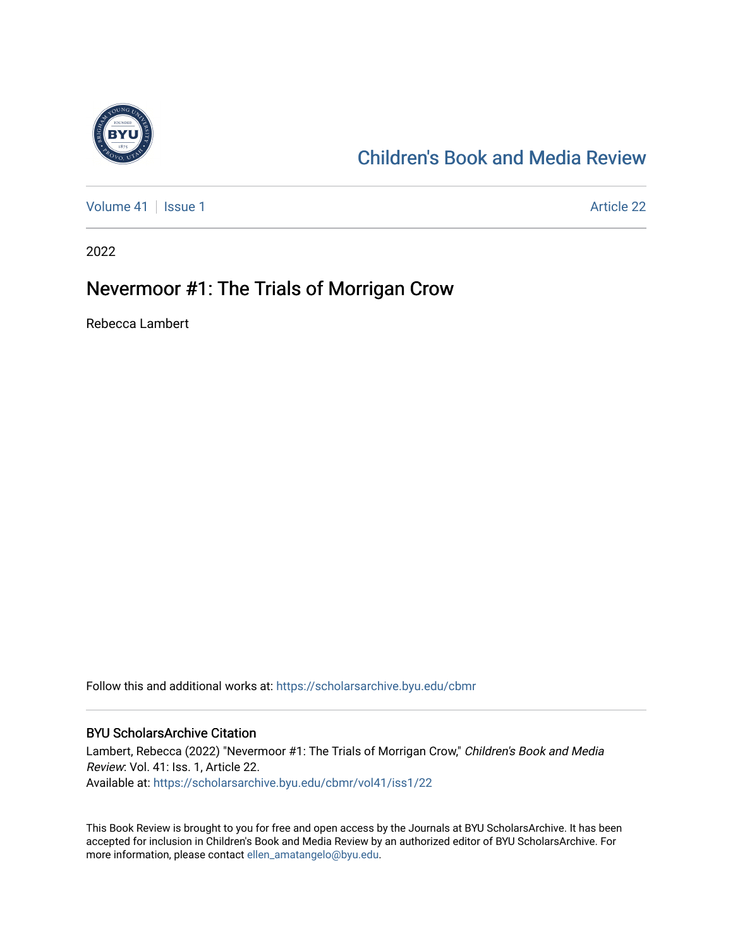

### [Children's Book and Media Review](https://scholarsarchive.byu.edu/cbmr)

[Volume 41](https://scholarsarchive.byu.edu/cbmr/vol41) | [Issue 1](https://scholarsarchive.byu.edu/cbmr/vol41/iss1) Article 22

2022

### Nevermoor #1: The Trials of Morrigan Crow

Rebecca Lambert

Follow this and additional works at: [https://scholarsarchive.byu.edu/cbmr](https://scholarsarchive.byu.edu/cbmr?utm_source=scholarsarchive.byu.edu%2Fcbmr%2Fvol41%2Fiss1%2F22&utm_medium=PDF&utm_campaign=PDFCoverPages) 

#### BYU ScholarsArchive Citation

Lambert, Rebecca (2022) "Nevermoor #1: The Trials of Morrigan Crow," Children's Book and Media Review: Vol. 41: Iss. 1, Article 22. Available at: [https://scholarsarchive.byu.edu/cbmr/vol41/iss1/22](https://scholarsarchive.byu.edu/cbmr/vol41/iss1/22?utm_source=scholarsarchive.byu.edu%2Fcbmr%2Fvol41%2Fiss1%2F22&utm_medium=PDF&utm_campaign=PDFCoverPages)

This Book Review is brought to you for free and open access by the Journals at BYU ScholarsArchive. It has been accepted for inclusion in Children's Book and Media Review by an authorized editor of BYU ScholarsArchive. For more information, please contact [ellen\\_amatangelo@byu.edu.](mailto:ellen_amatangelo@byu.edu)